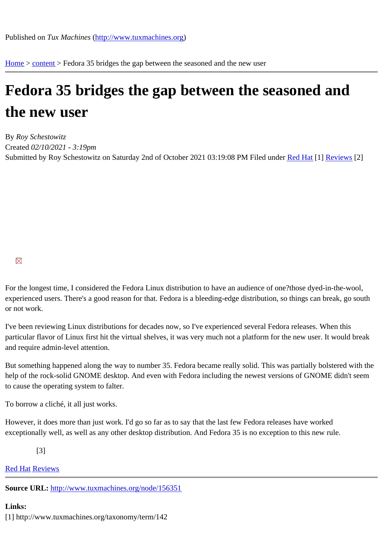Home > content > Fedora 3[5 bridges the gap between](http://www.tuxmachines.org) the seasoned and the new user

## [Fed](http://www.tuxmachines.org/)[ora](http://www.tuxmachines.org/node) 35 bridges the gap between the seasoned and the new user

By Roy Schestowitz Created 02/10/2021 - 3:19pm Submitted by Roy Schestowitz on Saturday 2nd of October 2021 03:19:08 PM Inder Red Hat<sup>[1]</sup> Reviews<sup>[2]</sup>

For the longest time, I considered the Fedora Linux distribution to have an audience of one?those dyed-in-the-woo experienced users. There's a good reason for that. Fedora is a bleeding-edge distribution, so things can break, go or not work.

I've been reviewing Linux distributions for decades now, so I've experienced several Fedora releases. When this particular flavor of Linux first hit the virtual shelves, it was very much not a platform for the new user. It would break and require admin-level attention.

But something happened along the way to number 35. Fedora became really solid. This was partially bolstered wit help of the rock-solid GNOME desktop. And even with Fedora including the newest versions of GNOME didn't see to cause the operating system to falter.

To borrow a cliché, it all just works.

However, it does more than just work. I'd go so far as to say that the last few Fedora releases have worked exceptionally well, as well as any other desktop distribution. And Fedora 35 is no exception to this new rule.

[3]

**Red HatReviews** 

Source URL: http://www.tuxmachines.org/node/156351

[Links:](http://www.tuxmachines.org/taxonomy/term/142)

[1] http://ww[w.tuxmachines.org/taxonomy/term/142](http://www.tuxmachines.org/node/156351)